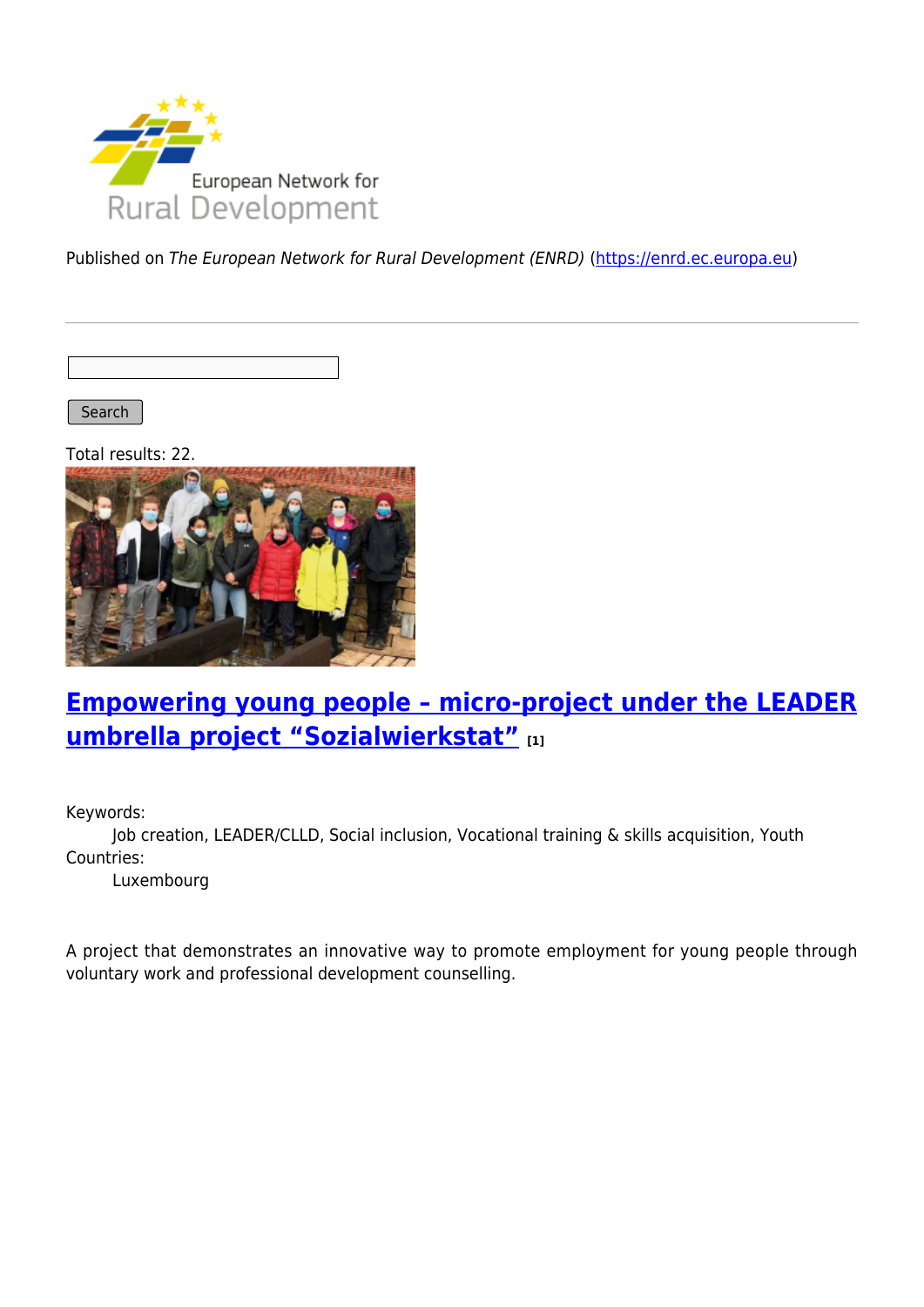

Published on The European Network for Rural Development (ENRD) [\(https://enrd.ec.europa.eu](https://enrd.ec.europa.eu))

Search

Total results: 22.



#### **[Empowering young people – micro-project under the LEADER](https://enrd.ec.europa.eu/projects-practice/empowering-young-people-micro-project-under-leader-umbrella-project_en) [umbrella project "Sozialwierkstat"](https://enrd.ec.europa.eu/projects-practice/empowering-young-people-micro-project-under-leader-umbrella-project_en) [1]**

Keywords:

Job creation, LEADER/CLLD, Social inclusion, Vocational training & skills acquisition, Youth Countries:

Luxembourg

A project that demonstrates an innovative way to promote employment for young people through voluntary work and professional development counselling.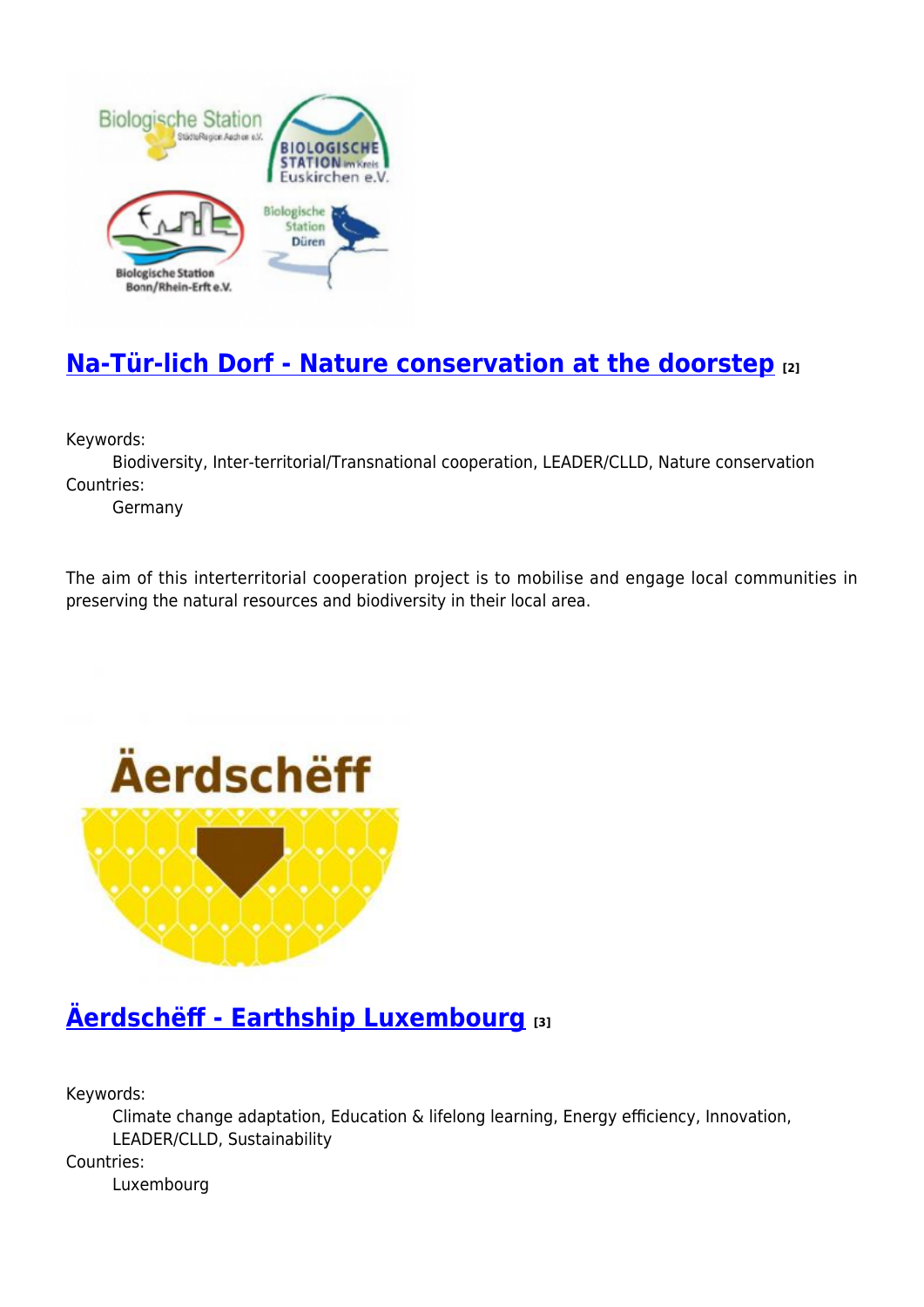

# **[Na-Tür-lich Dorf - Nature conservation at the doorstep](https://enrd.ec.europa.eu/projects-practice/na-tur-lich-dorf-nature-conservation-doorstep_en) [2]**

Keywords:

Biodiversity, Inter-territorial/Transnational cooperation, LEADER/CLLD, Nature conservation Countries:

Germany

The aim of this interterritorial cooperation project is to mobilise and engage local communities in preserving the natural resources and biodiversity in their local area.



### **[Äerdschëff - Earthship Luxembourg](https://enrd.ec.europa.eu/projects-practice/aerdscheff-earthship-luxembourg_en) [3]**

Keywords:

Climate change adaptation, Education & lifelong learning, Energy efficiency, Innovation, LEADER/CLLD, Sustainability

Countries:

Luxembourg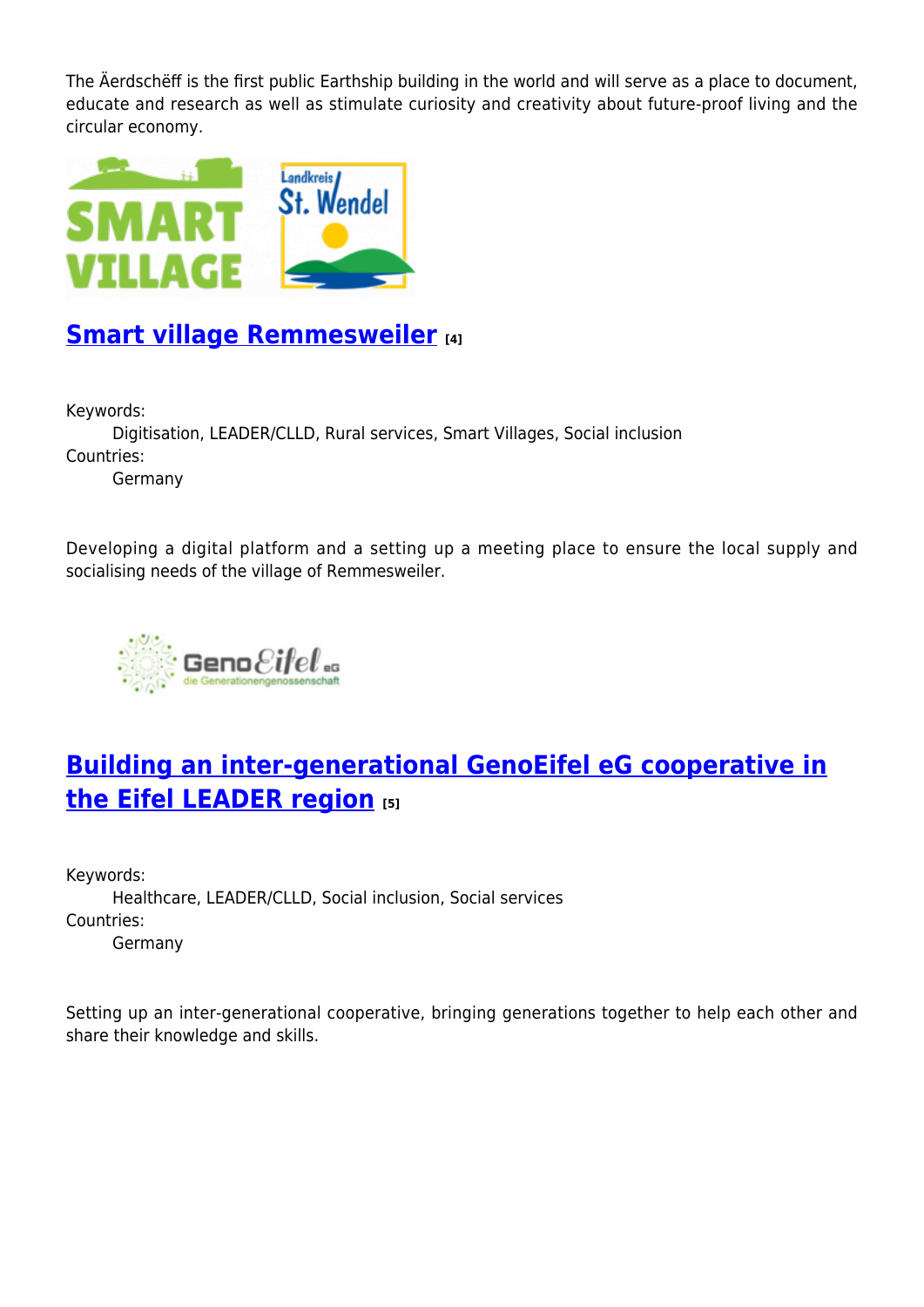The Äerdschëff is the first public Earthship building in the world and will serve as a place to document, educate and research as well as stimulate curiosity and creativity about future-proof living and the circular economy.



#### **[Smart village Remmesweiler](https://enrd.ec.europa.eu/projects-practice/smart-village-remmesweiler_en) [4]**

Keywords:

Digitisation, LEADER/CLLD, Rural services, Smart Villages, Social inclusion Countries: Germany

Developing a digital platform and a setting up a meeting place to ensure the local supply and socialising needs of the village of Remmesweiler.



## **[Building an inter-generational GenoEifel eG cooperative in](https://enrd.ec.europa.eu/projects-practice/building-inter-generational-genoeifel-eg-cooperative-eifel-leader-region_en) [the Eifel LEADER region](https://enrd.ec.europa.eu/projects-practice/building-inter-generational-genoeifel-eg-cooperative-eifel-leader-region_en) [5]**

Keywords: Healthcare, LEADER/CLLD, Social inclusion, Social services Countries: Germany

Setting up an inter-generational cooperative, bringing generations together to help each other and share their knowledge and skills.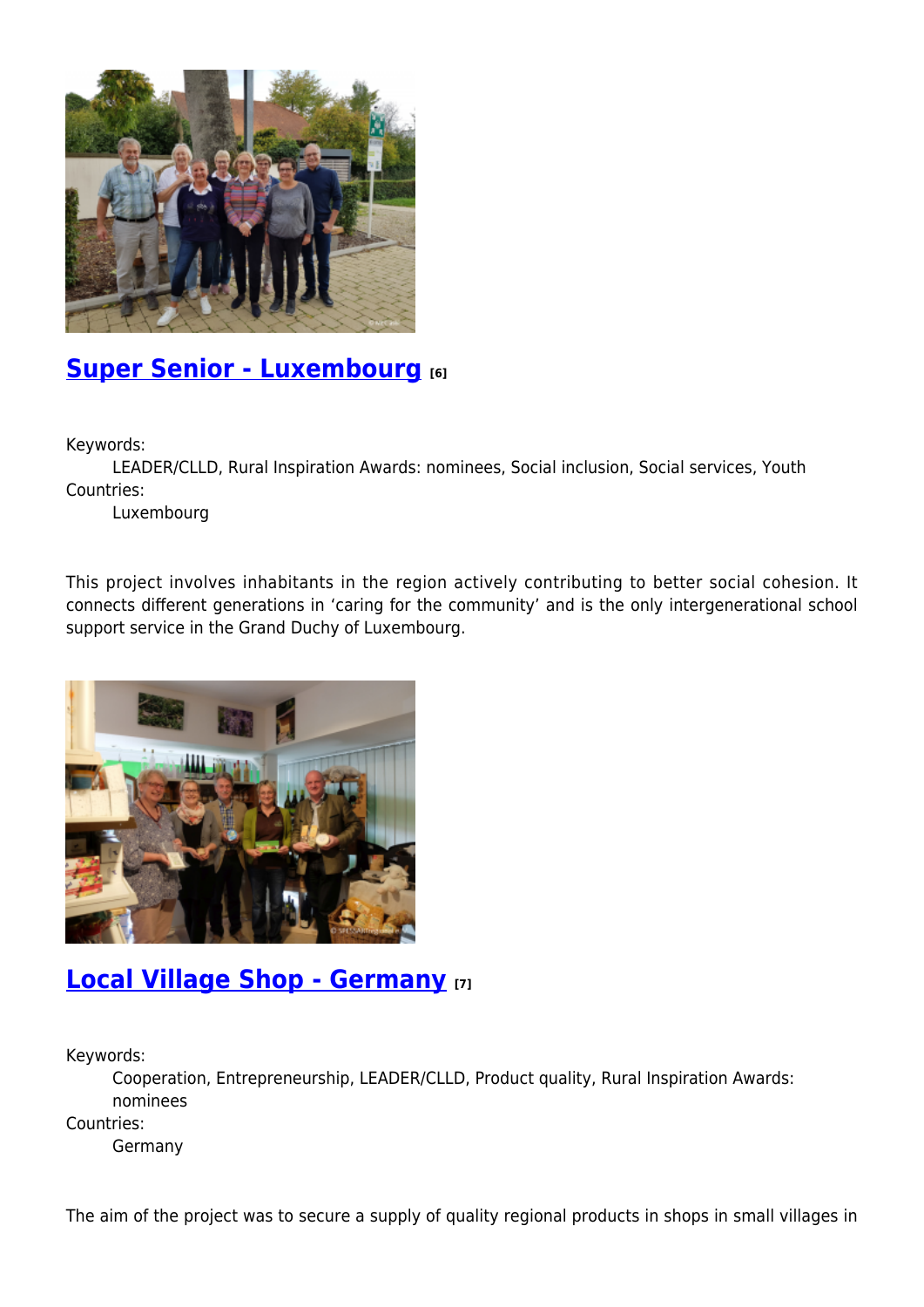

### **[Super Senior - Luxembourg](https://enrd.ec.europa.eu/projects-practice/super-senior-luxembourg_en) [6]**

Keywords:

LEADER/CLLD, Rural Inspiration Awards: nominees, Social inclusion, Social services, Youth Countries:

Luxembourg

This project involves inhabitants in the region actively contributing to better social cohesion. It connects different generations in 'caring for the community' and is the only intergenerational school support service in the Grand Duchy of Luxembourg.



#### **[Local Village Shop - Germany](https://enrd.ec.europa.eu/projects-practice/local-village-shop-germany_en) [7]**

Keywords:

Cooperation, Entrepreneurship, LEADER/CLLD, Product quality, Rural Inspiration Awards: nominees Countries:

Germany

The aim of the project was to secure a supply of quality regional products in shops in small villages in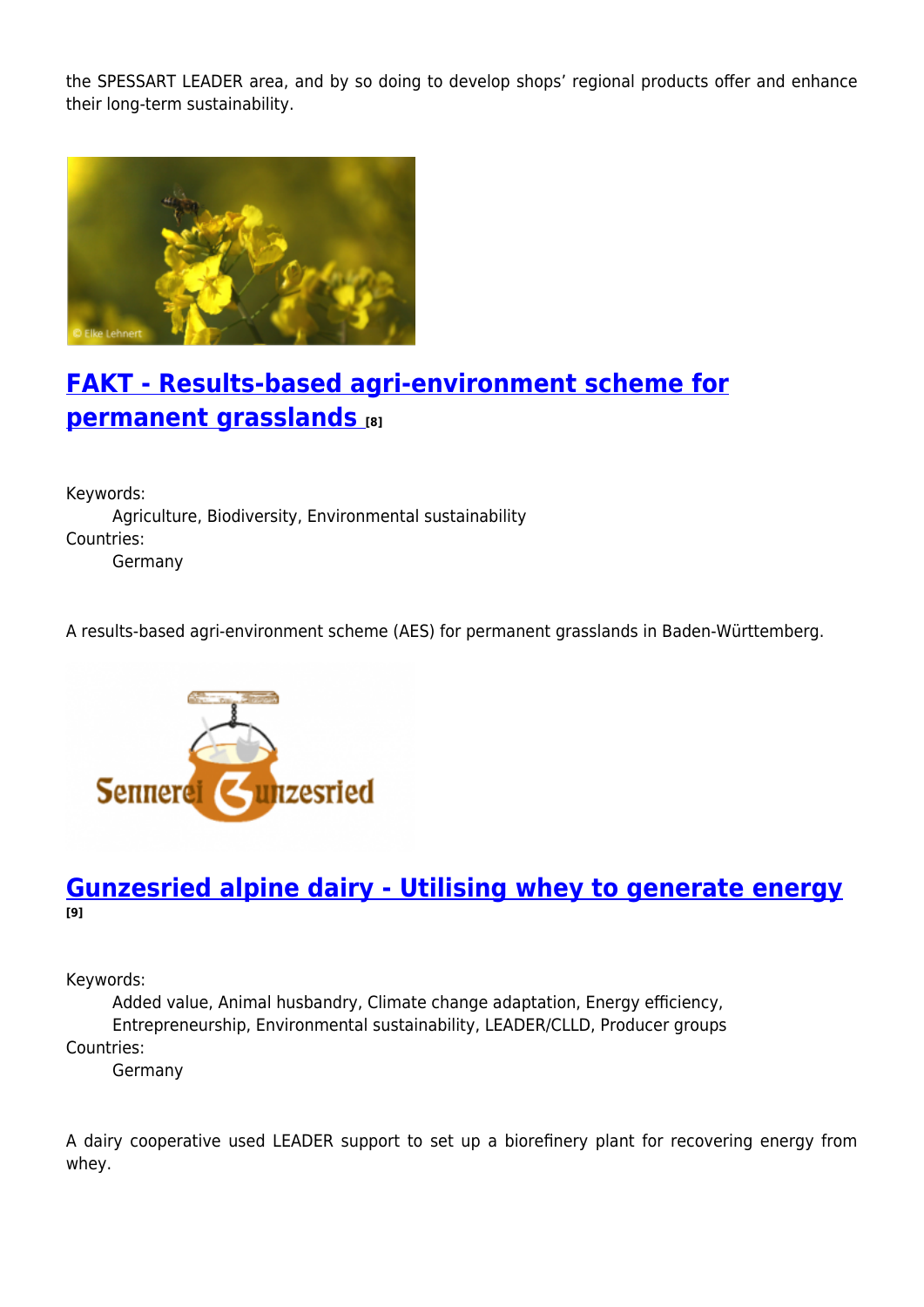the SPESSART LEADER area, and by so doing to develop shops' regional products offer and enhance their long-term sustainability.



### **[FAKT - Results-based agri-environment scheme for](https://enrd.ec.europa.eu/projects-practice/fakt-results-based-agri-environment-scheme-permanent-grasslands_en) [permanent grasslands](https://enrd.ec.europa.eu/projects-practice/fakt-results-based-agri-environment-scheme-permanent-grasslands_en) [8]**

Keywords: Agriculture, Biodiversity, Environmental sustainability Countries: Germany

A results-based agri-environment scheme (AES) for permanent grasslands in Baden-Württemberg.



#### **[Gunzesried alpine dairy - Utilising whey to generate energy](https://enrd.ec.europa.eu/projects-practice/gunzesried-alpine-dairy-utilising-whey-generate-energy_en) [9]**

Keywords:

Added value, Animal husbandry, Climate change adaptation, Energy efficiency, Entrepreneurship, Environmental sustainability, LEADER/CLLD, Producer groups Countries:

Germany

A dairy cooperative used LEADER support to set up a biorefinery plant for recovering energy from whey.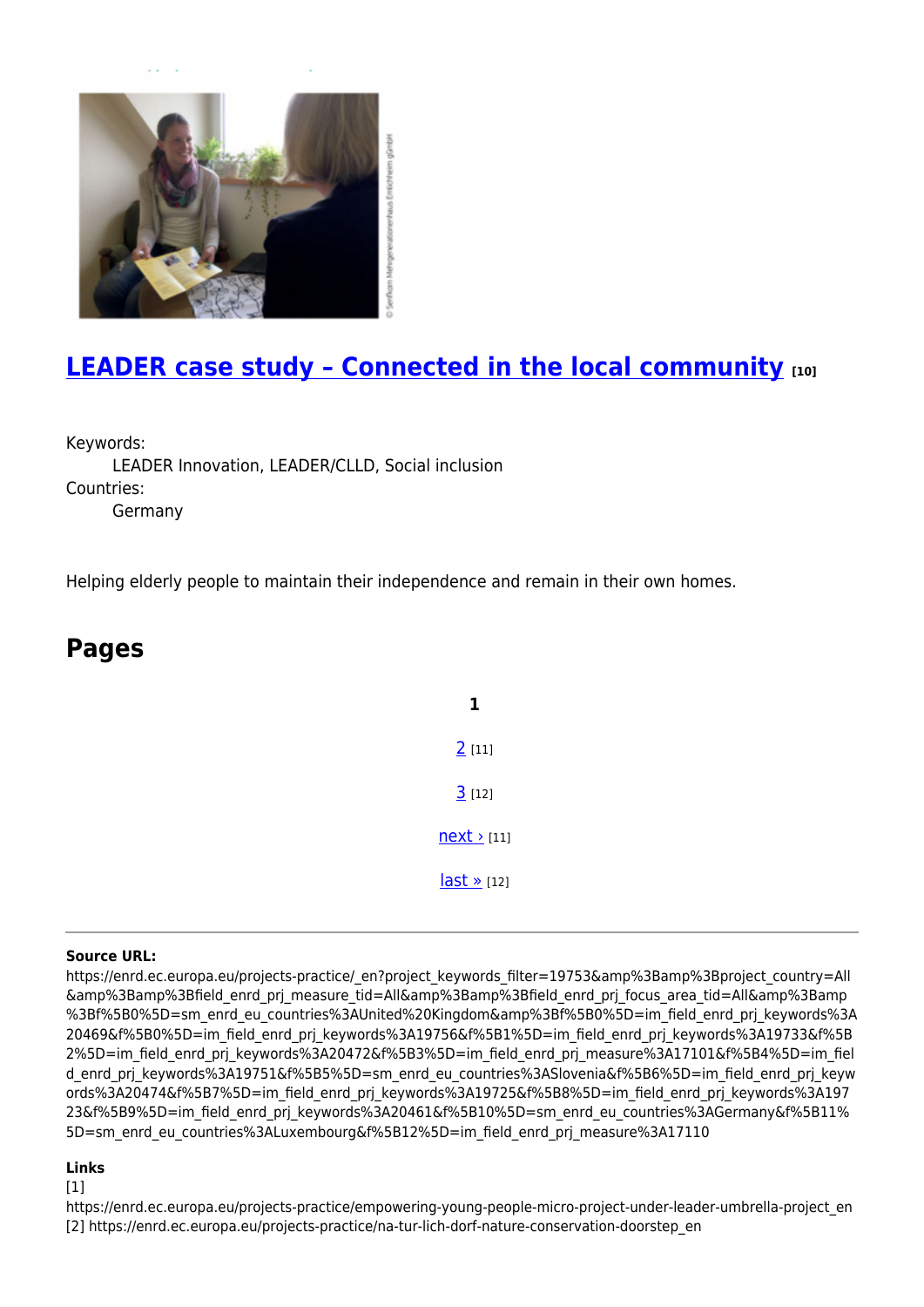

### **[LEADER case study – Connected in the local community](https://enrd.ec.europa.eu/projects-practice/leader-case-study-connected-local-community_en) [10]**

Keywords:

LEADER Innovation, LEADER/CLLD, Social inclusion Countries: Germany

Helping elderly people to maintain their independence and remain in their own homes.

| <b>Pages</b> |  |  |  |
|--------------|--|--|--|
|              |  |  |  |
|              |  |  |  |
|              |  |  |  |
|              |  |  |  |

#### **Source URL:**

https://enrd.ec.europa.eu/projects-practice/\_en?project\_keywords\_filter=19753&amp%3Bamp%3Bproject\_country=All &amp%3Bamp%3Bfield\_enrd\_prj\_measure\_tid=All&amp%3Bamp%3Bfield\_enrd\_prj\_focus\_area\_tid=All&amp%3Bamp %3Bf%5B0%5D=sm\_enrd\_eu\_countries%3AUnited%20Kingdom&amp%3Bf%5B0%5D=im\_field\_enrd\_prj\_keywords%3A 20469&f%5B0%5D=im\_field\_enrd\_prj\_keywords%3A19756&f%5B1%5D=im\_field\_enrd\_prj\_keywords%3A19733&f%5B 2%5D=im\_field\_enrd\_prj\_keywords%3A20472&f%5B3%5D=im\_field\_enrd\_prj\_measure%3A17101&f%5B4%5D=im\_fiel d enrd prj keywords%3A19751&f%5B5%5D=sm enrd eu countries%3ASlovenia&f%5B6%5D=im field enrd prj keyw ords%3A20474&f%5B7%5D=im\_field\_enrd\_prj\_keywords%3A19725&f%5B8%5D=im\_field\_enrd\_prj\_keywords%3A197 23&f%5B9%5D=im\_field\_enrd\_prj\_keywords%3A20461&f%5B10%5D=sm\_enrd\_eu\_countries%3AGermany&f%5B11% 5D=sm\_enrd\_eu\_countries%3ALuxembourg&f%5B12%5D=im\_field\_enrd\_prj\_measure%3A17110

**1**

[2](https://enrd.ec.europa.eu/projects-practice/_en?page=1&project_keywords_filter=19753&%3Bamp%3Bproject_country=All&%3Bamp%3Bfield_enrd_prj_measure_tid=All&%3Bamp%3Bfield_enrd_prj_focus_area_tid=All&%3Bamp%3Bf%5B0%5D=sm_enrd_eu_countries%3AUnited%20Kingdom&%3Bf%5B0%5D=im_field_enrd_prj_keywords%3A20469&f%5B0%5D=im_field_enrd_prj_keywords%3A19756&f%5B1%5D=im_field_enrd_prj_keywords%3A19733&f%5B2%5D=im_field_enrd_prj_keywords%3A20472&f%5B3%5D=im_field_enrd_prj_measure%3A17101&f%5B4%5D=im_field_enrd_prj_keywords%3A19751&f%5B5%5D=sm_enrd_eu_countries%3ASlovenia&f%5B6%5D=im_field_enrd_prj_keywords%3A20474&f%5B7%5D=im_field_enrd_prj_keywords%3A19725&f%5B8%5D=im_field_enrd_prj_keywords%3A19723&f%5B9%5D=im_field_enrd_prj_keywords%3A20461&f%5B10%5D=sm_enrd_eu_countries%3AGermany&f%5B11%5D=sm_enrd_eu_countries%3ALuxembourg&f%5B12%5D=im_field_enrd_prj_measure%3A17110) [11]

 $3$  [12]

 $next$  [11]

 $last \times [12]$ 

#### **Links**

 $[1]$ 

https://enrd.ec.europa.eu/projects-practice/empowering-young-people-micro-project-under-leader-umbrella-project\_en [2] https://enrd.ec.europa.eu/projects-practice/na-tur-lich-dorf-nature-conservation-doorstep\_en